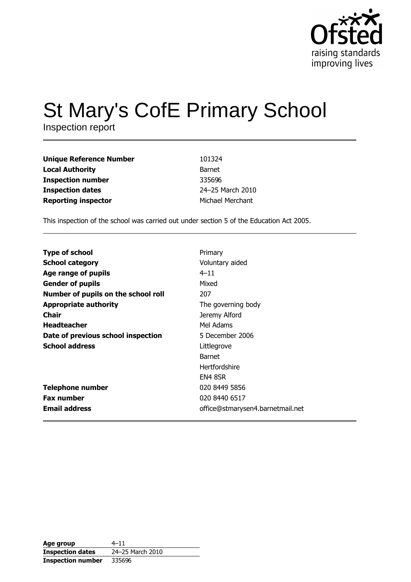

# St Mary's CofE Primary School

Inspection report

| <b>Unique Reference Number</b> | 101324           |
|--------------------------------|------------------|
| <b>Local Authority</b>         | Barnet           |
| <b>Inspection number</b>       | 335696           |
| <b>Inspection dates</b>        | 24-25 March 2010 |
| <b>Reporting inspector</b>     | Michael Merchant |

This inspection of the school was carried out under section 5 of the Education Act 2005.

| <b>Type of school</b>               | Primary                          |
|-------------------------------------|----------------------------------|
| <b>School category</b>              | Voluntary aided                  |
| Age range of pupils                 | $4 - 11$                         |
| <b>Gender of pupils</b>             | Mixed                            |
| Number of pupils on the school roll | 207                              |
| <b>Appropriate authority</b>        | The governing body               |
| Chair                               | Jeremy Alford                    |
| <b>Headteacher</b>                  | Mel Adams                        |
| Date of previous school inspection  | 5 December 2006                  |
| <b>School address</b>               | Littlegrove                      |
|                                     | Barnet                           |
|                                     | <b>Hertfordshire</b>             |
|                                     | EN4 8SR                          |
| <b>Telephone number</b>             | 020 8449 5856                    |
| <b>Fax number</b>                   | 020 8440 6517                    |
| <b>Email address</b>                | office@stmarysen4.barnetmail.net |

| Age group                | $4 - 11$         |
|--------------------------|------------------|
| <b>Inspection dates</b>  | 24-25 March 2010 |
| <b>Inspection number</b> | 335696           |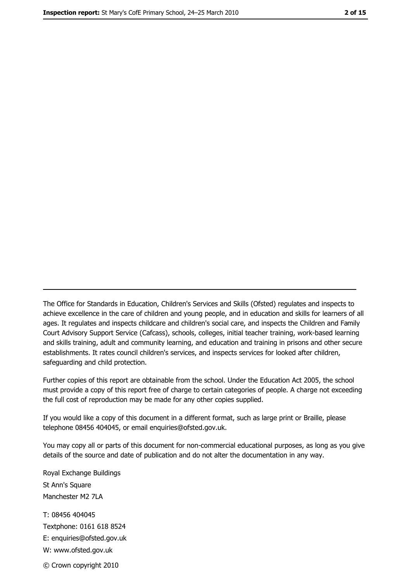The Office for Standards in Education, Children's Services and Skills (Ofsted) regulates and inspects to achieve excellence in the care of children and young people, and in education and skills for learners of all ages. It regulates and inspects childcare and children's social care, and inspects the Children and Family Court Advisory Support Service (Cafcass), schools, colleges, initial teacher training, work-based learning and skills training, adult and community learning, and education and training in prisons and other secure establishments. It rates council children's services, and inspects services for looked after children, safequarding and child protection.

Further copies of this report are obtainable from the school. Under the Education Act 2005, the school must provide a copy of this report free of charge to certain categories of people. A charge not exceeding the full cost of reproduction may be made for any other copies supplied.

If you would like a copy of this document in a different format, such as large print or Braille, please telephone 08456 404045, or email enquiries@ofsted.gov.uk.

You may copy all or parts of this document for non-commercial educational purposes, as long as you give details of the source and date of publication and do not alter the documentation in any way.

Royal Exchange Buildings St Ann's Square Manchester M2 7LA T: 08456 404045 Textphone: 0161 618 8524 E: enquiries@ofsted.gov.uk W: www.ofsted.gov.uk © Crown copyright 2010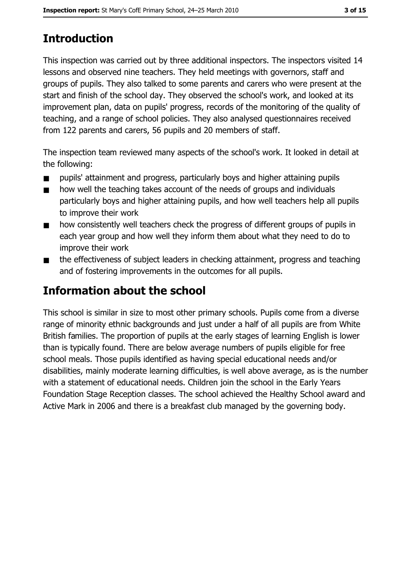# **Introduction**

This inspection was carried out by three additional inspectors. The inspectors visited 14 lessons and observed nine teachers. They held meetings with governors, staff and groups of pupils. They also talked to some parents and carers who were present at the start and finish of the school day. They observed the school's work, and looked at its improvement plan, data on pupils' progress, records of the monitoring of the quality of teaching, and a range of school policies. They also analysed questionnaires received from 122 parents and carers, 56 pupils and 20 members of staff.

The inspection team reviewed many aspects of the school's work. It looked in detail at the following:

- pupils' attainment and progress, particularly boys and higher attaining pupils  $\blacksquare$
- how well the teaching takes account of the needs of groups and individuals  $\blacksquare$ particularly boys and higher attaining pupils, and how well teachers help all pupils to improve their work
- how consistently well teachers check the progress of different groups of pupils in  $\blacksquare$ each year group and how well they inform them about what they need to do to improve their work
- the effectiveness of subject leaders in checking attainment, progress and teaching  $\blacksquare$ and of fostering improvements in the outcomes for all pupils.

# Information about the school

This school is similar in size to most other primary schools. Pupils come from a diverse range of minority ethnic backgrounds and just under a half of all pupils are from White British families. The proportion of pupils at the early stages of learning English is lower than is typically found. There are below average numbers of pupils eligible for free school meals. Those pupils identified as having special educational needs and/or disabilities, mainly moderate learning difficulties, is well above average, as is the number with a statement of educational needs. Children join the school in the Early Years Foundation Stage Reception classes. The school achieved the Healthy School award and Active Mark in 2006 and there is a breakfast club managed by the governing body.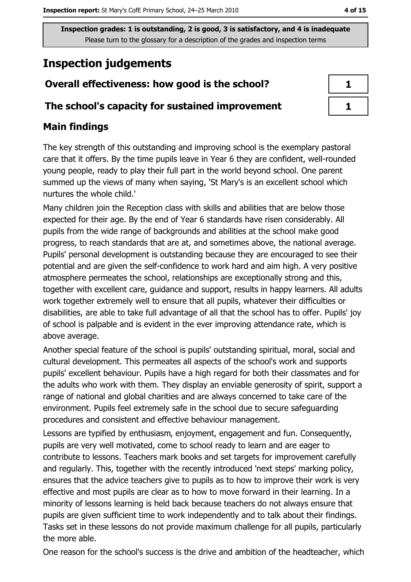## **Inspection judgements**

## Overall effectiveness: how good is the school?

#### The school's capacity for sustained improvement

## **Main findings**

The key strength of this outstanding and improving school is the exemplary pastoral care that it offers. By the time pupils leave in Year 6 they are confident, well-rounded young people, ready to play their full part in the world beyond school. One parent summed up the views of many when saying, 'St Mary's is an excellent school which nurtures the whole child.'

Many children join the Reception class with skills and abilities that are below those expected for their age. By the end of Year 6 standards have risen considerably. All pupils from the wide range of backgrounds and abilities at the school make good progress, to reach standards that are at, and sometimes above, the national average. Pupils' personal development is outstanding because they are encouraged to see their potential and are given the self-confidence to work hard and aim high. A very positive atmosphere permeates the school, relationships are exceptionally strong and this, together with excellent care, guidance and support, results in happy learners. All adults work together extremely well to ensure that all pupils, whatever their difficulties or disabilities, are able to take full advantage of all that the school has to offer. Pupils' joy of school is palpable and is evident in the ever improving attendance rate, which is above average.

Another special feature of the school is pupils' outstanding spiritual, moral, social and cultural development. This permeates all aspects of the school's work and supports pupils' excellent behaviour. Pupils have a high regard for both their classmates and for the adults who work with them. They display an enviable generosity of spirit, support a range of national and global charities and are always concerned to take care of the environment. Pupils feel extremely safe in the school due to secure safeguarding procedures and consistent and effective behaviour management.

Lessons are typified by enthusiasm, enjoyment, engagement and fun. Consequently, pupils are very well motivated, come to school ready to learn and are eager to contribute to lessons. Teachers mark books and set targets for improvement carefully and regularly. This, together with the recently introduced 'next steps' marking policy, ensures that the advice teachers give to pupils as to how to improve their work is very effective and most pupils are clear as to how to move forward in their learning. In a minority of lessons learning is held back because teachers do not always ensure that pupils are given sufficient time to work independently and to talk about their findings. Tasks set in these lessons do not provide maximum challenge for all pupils, particularly the more able.

One reason for the school's success is the drive and ambition of the headteacher, which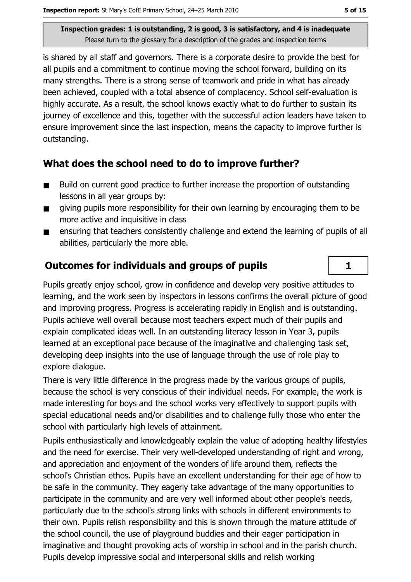is shared by all staff and governors. There is a corporate desire to provide the best for all pupils and a commitment to continue moving the school forward, building on its many strengths. There is a strong sense of teamwork and pride in what has already been achieved, coupled with a total absence of complacency. School self-evaluation is highly accurate. As a result, the school knows exactly what to do further to sustain its journey of excellence and this, together with the successful action leaders have taken to ensure improvement since the last inspection, means the capacity to improve further is outstanding.

## What does the school need to do to improve further?

- Build on current good practice to further increase the proportion of outstanding  $\blacksquare$ lessons in all year groups by:
- giving pupils more responsibility for their own learning by encouraging them to be  $\blacksquare$ more active and inquisitive in class
- ensuring that teachers consistently challenge and extend the learning of pupils of all  $\blacksquare$ abilities, particularly the more able.

## **Outcomes for individuals and groups of pupils**

Pupils greatly enjoy school, grow in confidence and develop very positive attitudes to learning, and the work seen by inspectors in lessons confirms the overall picture of good and improving progress. Progress is accelerating rapidly in English and is outstanding. Pupils achieve well overall because most teachers expect much of their pupils and explain complicated ideas well. In an outstanding literacy lesson in Year 3, pupils learned at an exceptional pace because of the imaginative and challenging task set, developing deep insights into the use of language through the use of role play to explore dialoque.

There is very little difference in the progress made by the various groups of pupils, because the school is very conscious of their individual needs. For example, the work is made interesting for boys and the school works very effectively to support pupils with special educational needs and/or disabilities and to challenge fully those who enter the school with particularly high levels of attainment.

Pupils enthusiastically and knowledgeably explain the value of adopting healthy lifestyles and the need for exercise. Their very well-developed understanding of right and wrong, and appreciation and enjoyment of the wonders of life around them, reflects the school's Christian ethos. Pupils have an excellent understanding for their age of how to be safe in the community. They eagerly take advantage of the many opportunities to participate in the community and are very well informed about other people's needs, particularly due to the school's strong links with schools in different environments to their own. Pupils relish responsibility and this is shown through the mature attitude of the school council, the use of playground buddies and their eager participation in imaginative and thought provoking acts of worship in school and in the parish church. Pupils develop impressive social and interpersonal skills and relish working

1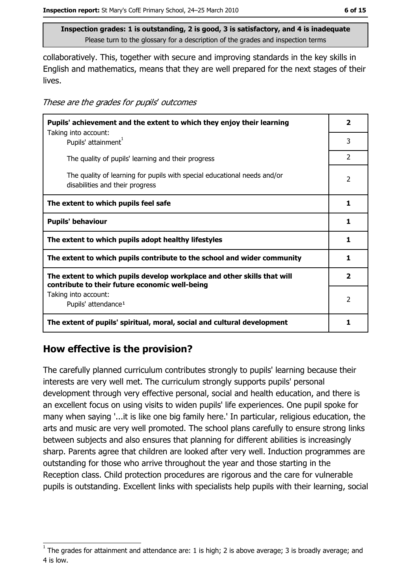collaboratively. This, together with secure and improving standards in the key skills in English and mathematics, means that they are well prepared for the next stages of their lives.

These are the grades for pupils' outcomes

| Pupils' achievement and the extent to which they enjoy their learning                                                     |                |
|---------------------------------------------------------------------------------------------------------------------------|----------------|
| Taking into account:<br>Pupils' attainment <sup>1</sup>                                                                   | 3              |
| The quality of pupils' learning and their progress                                                                        | $\overline{2}$ |
| The quality of learning for pupils with special educational needs and/or<br>disabilities and their progress               | $\overline{2}$ |
| The extent to which pupils feel safe                                                                                      |                |
| <b>Pupils' behaviour</b>                                                                                                  |                |
| The extent to which pupils adopt healthy lifestyles                                                                       |                |
| The extent to which pupils contribute to the school and wider community                                                   |                |
| The extent to which pupils develop workplace and other skills that will<br>contribute to their future economic well-being |                |
| Taking into account:<br>Pupils' attendance <sup>1</sup>                                                                   | 2              |
| The extent of pupils' spiritual, moral, social and cultural development                                                   |                |

## How effective is the provision?

The carefully planned curriculum contributes strongly to pupils' learning because their interests are very well met. The curriculum strongly supports pupils' personal development through very effective personal, social and health education, and there is an excellent focus on using visits to widen pupils' life experiences. One pupil spoke for many when saying '... it is like one big family here.' In particular, religious education, the arts and music are very well promoted. The school plans carefully to ensure strong links between subjects and also ensures that planning for different abilities is increasingly sharp. Parents agree that children are looked after very well. Induction programmes are outstanding for those who arrive throughout the year and those starting in the Reception class. Child protection procedures are rigorous and the care for vulnerable pupils is outstanding. Excellent links with specialists help pupils with their learning, social

The grades for attainment and attendance are: 1 is high; 2 is above average; 3 is broadly average; and 4 is low.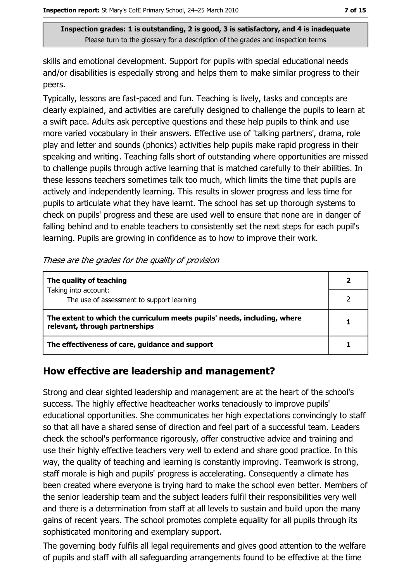skills and emotional development. Support for pupils with special educational needs and/or disabilities is especially strong and helps them to make similar progress to their peers.

Typically, lessons are fast-paced and fun. Teaching is lively, tasks and concepts are clearly explained, and activities are carefully designed to challenge the pupils to learn at a swift pace. Adults ask perceptive questions and these help pupils to think and use more varied vocabulary in their answers. Effective use of 'talking partners', drama, role play and letter and sounds (phonics) activities help pupils make rapid progress in their speaking and writing. Teaching falls short of outstanding where opportunities are missed to challenge pupils through active learning that is matched carefully to their abilities. In these lessons teachers sometimes talk too much, which limits the time that pupils are actively and independently learning. This results in slower progress and less time for pupils to articulate what they have learnt. The school has set up thorough systems to check on pupils' progress and these are used well to ensure that none are in danger of falling behind and to enable teachers to consistently set the next steps for each pupil's learning. Pupils are growing in confidence as to how to improve their work.

| The quality of teaching                                                                                    |  |
|------------------------------------------------------------------------------------------------------------|--|
| Taking into account:<br>The use of assessment to support learning                                          |  |
| The extent to which the curriculum meets pupils' needs, including, where<br>relevant, through partnerships |  |
| The effectiveness of care, guidance and support                                                            |  |

These are the grades for the quality of provision

#### How effective are leadership and management?

Strong and clear sighted leadership and management are at the heart of the school's success. The highly effective headteacher works tenaciously to improve pupils' educational opportunities. She communicates her high expectations convincingly to staff so that all have a shared sense of direction and feel part of a successful team. Leaders check the school's performance rigorously, offer constructive advice and training and use their highly effective teachers very well to extend and share good practice. In this way, the quality of teaching and learning is constantly improving. Teamwork is strong, staff morale is high and pupils' progress is accelerating. Consequently a climate has been created where everyone is trying hard to make the school even better. Members of the senior leadership team and the subject leaders fulfil their responsibilities very well and there is a determination from staff at all levels to sustain and build upon the many gains of recent years. The school promotes complete equality for all pupils through its sophisticated monitoring and exemplary support.

The governing body fulfils all legal requirements and gives good attention to the welfare of pupils and staff with all safeguarding arrangements found to be effective at the time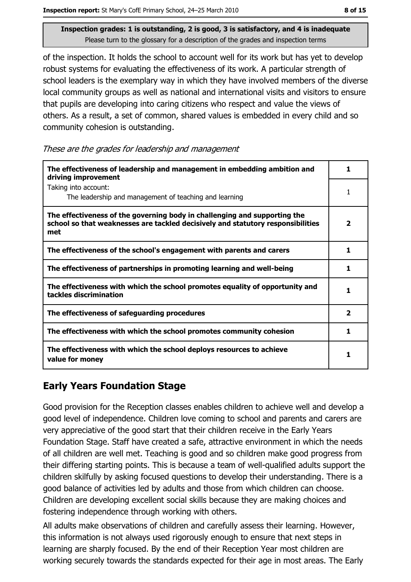of the inspection. It holds the school to account well for its work but has yet to develop robust systems for evaluating the effectiveness of its work. A particular strength of school leaders is the exemplary way in which they have involved members of the diverse local community groups as well as national and international visits and visitors to ensure that pupils are developing into caring citizens who respect and value the views of others. As a result, a set of common, shared values is embedded in every child and so community cohesion is outstanding.

These are the grades for leadership and management

| The effectiveness of leadership and management in embedding ambition and<br>driving improvement                                                                     | 1                       |
|---------------------------------------------------------------------------------------------------------------------------------------------------------------------|-------------------------|
| Taking into account:<br>The leadership and management of teaching and learning                                                                                      |                         |
| The effectiveness of the governing body in challenging and supporting the<br>school so that weaknesses are tackled decisively and statutory responsibilities<br>met | 2                       |
| The effectiveness of the school's engagement with parents and carers                                                                                                | 1                       |
| The effectiveness of partnerships in promoting learning and well-being                                                                                              | 1                       |
| The effectiveness with which the school promotes equality of opportunity and<br>tackles discrimination                                                              | 1                       |
| The effectiveness of safeguarding procedures                                                                                                                        | $\overline{\mathbf{2}}$ |
| The effectiveness with which the school promotes community cohesion                                                                                                 | 1                       |
| The effectiveness with which the school deploys resources to achieve<br>value for money                                                                             |                         |

## **Early Years Foundation Stage**

Good provision for the Reception classes enables children to achieve well and develop a good level of independence. Children love coming to school and parents and carers are very appreciative of the good start that their children receive in the Early Years Foundation Stage. Staff have created a safe, attractive environment in which the needs of all children are well met. Teaching is good and so children make good progress from their differing starting points. This is because a team of well-qualified adults support the children skilfully by asking focused questions to develop their understanding. There is a good balance of activities led by adults and those from which children can choose. Children are developing excellent social skills because they are making choices and fostering independence through working with others.

All adults make observations of children and carefully assess their learning. However, this information is not always used rigorously enough to ensure that next steps in learning are sharply focused. By the end of their Reception Year most children are working securely towards the standards expected for their age in most areas. The Early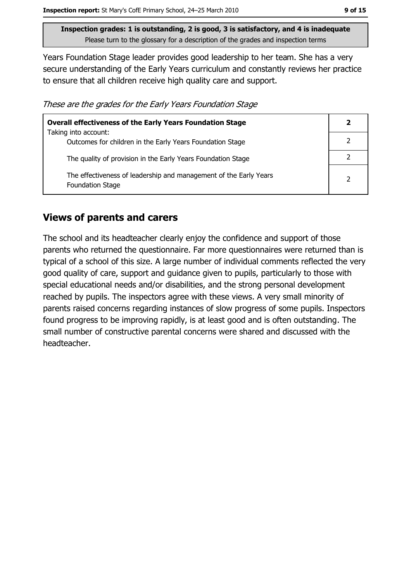Years Foundation Stage leader provides good leadership to her team. She has a very secure understanding of the Early Years curriculum and constantly reviews her practice to ensure that all children receive high quality care and support.

These are the grades for the Early Years Foundation Stage

| <b>Overall effectiveness of the Early Years Foundation Stage</b>                             |                |
|----------------------------------------------------------------------------------------------|----------------|
| Taking into account:                                                                         |                |
| Outcomes for children in the Early Years Foundation Stage                                    |                |
| The quality of provision in the Early Years Foundation Stage                                 |                |
| The effectiveness of leadership and management of the Early Years<br><b>Foundation Stage</b> | $\overline{2}$ |

#### **Views of parents and carers**

The school and its headteacher clearly eniov the confidence and support of those parents who returned the questionnaire. Far more questionnaires were returned than is typical of a school of this size. A large number of individual comments reflected the very good quality of care, support and quidance given to pupils, particularly to those with special educational needs and/or disabilities, and the strong personal development reached by pupils. The inspectors agree with these views. A very small minority of parents raised concerns regarding instances of slow progress of some pupils. Inspectors found progress to be improving rapidly, is at least good and is often outstanding. The small number of constructive parental concerns were shared and discussed with the headteacher.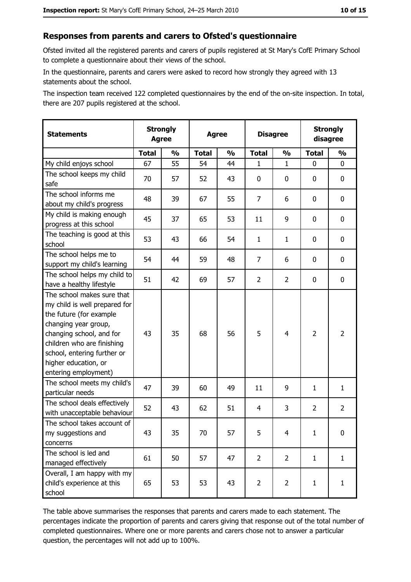#### Responses from parents and carers to Ofsted's questionnaire

Ofsted invited all the registered parents and carers of pupils registered at St Mary's CofE Primary School to complete a questionnaire about their views of the school.

In the questionnaire, parents and carers were asked to record how strongly they agreed with 13 statements about the school.

The inspection team received 122 completed questionnaires by the end of the on-site inspection. In total, there are 207 pupils registered at the school.

| <b>Statements</b>                                                                                                                                                                                                                                       | <b>Strongly</b><br><b>Agree</b> |               | <b>Agree</b> |               | <b>Disagree</b> |                | <b>Strongly</b><br>disagree |                |
|---------------------------------------------------------------------------------------------------------------------------------------------------------------------------------------------------------------------------------------------------------|---------------------------------|---------------|--------------|---------------|-----------------|----------------|-----------------------------|----------------|
|                                                                                                                                                                                                                                                         | <b>Total</b>                    | $\frac{1}{2}$ | <b>Total</b> | $\frac{0}{0}$ | <b>Total</b>    | $\frac{1}{2}$  | <b>Total</b>                | $\frac{1}{2}$  |
| My child enjoys school                                                                                                                                                                                                                                  | 67                              | 55            | 54           | 44            | 1               | $\mathbf{1}$   | $\Omega$                    | $\mathbf 0$    |
| The school keeps my child<br>safe                                                                                                                                                                                                                       | 70                              | 57            | 52           | 43            | 0               | 0              | 0                           | $\mathbf 0$    |
| The school informs me<br>about my child's progress                                                                                                                                                                                                      | 48                              | 39            | 67           | 55            | 7               | 6              | 0                           | $\mathbf 0$    |
| My child is making enough<br>progress at this school                                                                                                                                                                                                    | 45                              | 37            | 65           | 53            | 11              | 9              | 0                           | 0              |
| The teaching is good at this<br>school                                                                                                                                                                                                                  | 53                              | 43            | 66           | 54            | $\mathbf{1}$    | $\mathbf{1}$   | 0                           | 0              |
| The school helps me to<br>support my child's learning                                                                                                                                                                                                   | 54                              | 44            | 59           | 48            | $\overline{7}$  | 6              | 0                           | 0              |
| The school helps my child to<br>have a healthy lifestyle                                                                                                                                                                                                | 51                              | 42            | 69           | 57            | $\overline{2}$  | $\overline{2}$ | 0                           | $\mathbf 0$    |
| The school makes sure that<br>my child is well prepared for<br>the future (for example<br>changing year group,<br>changing school, and for<br>children who are finishing<br>school, entering further or<br>higher education, or<br>entering employment) | 43                              | 35            | 68           | 56            | 5               | 4              | $\overline{2}$              | $\overline{2}$ |
| The school meets my child's<br>particular needs                                                                                                                                                                                                         | 47                              | 39            | 60           | 49            | 11              | 9              | $\mathbf{1}$                | $\mathbf{1}$   |
| The school deals effectively<br>with unacceptable behaviour                                                                                                                                                                                             | 52                              | 43            | 62           | 51            | $\overline{4}$  | 3              | $\overline{2}$              | $\overline{2}$ |
| The school takes account of<br>my suggestions and<br>concerns                                                                                                                                                                                           | 43                              | 35            | 70           | 57            | 5               | 4              | $\mathbf{1}$                | 0              |
| The school is led and<br>managed effectively                                                                                                                                                                                                            | 61                              | 50            | 57           | 47            | $\overline{2}$  | $\overline{2}$ | $\mathbf{1}$                | $\mathbf{1}$   |
| Overall, I am happy with my<br>child's experience at this<br>school                                                                                                                                                                                     | 65                              | 53            | 53           | 43            | $\overline{2}$  | $\overline{2}$ | $\mathbf{1}$                | $\mathbf{1}$   |

The table above summarises the responses that parents and carers made to each statement. The percentages indicate the proportion of parents and carers giving that response out of the total number of completed questionnaires. Where one or more parents and carers chose not to answer a particular question, the percentages will not add up to 100%.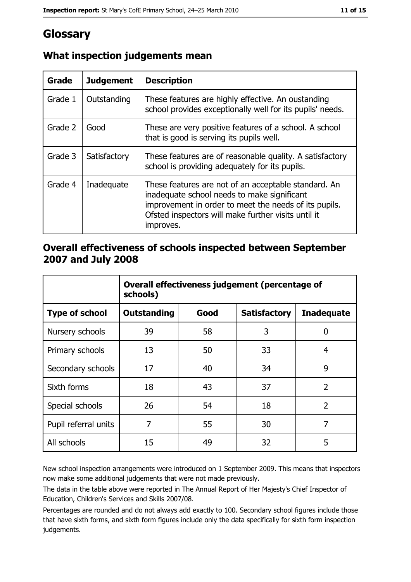# Glossary

| Grade   | <b>Judgement</b> | <b>Description</b>                                                                                                                                                                                                               |
|---------|------------------|----------------------------------------------------------------------------------------------------------------------------------------------------------------------------------------------------------------------------------|
| Grade 1 | Outstanding      | These features are highly effective. An oustanding<br>school provides exceptionally well for its pupils' needs.                                                                                                                  |
| Grade 2 | Good             | These are very positive features of a school. A school<br>that is good is serving its pupils well.                                                                                                                               |
| Grade 3 | Satisfactory     | These features are of reasonable quality. A satisfactory<br>school is providing adequately for its pupils.                                                                                                                       |
| Grade 4 | Inadequate       | These features are not of an acceptable standard. An<br>inadequate school needs to make significant<br>improvement in order to meet the needs of its pupils.<br>Ofsted inspectors will make further visits until it<br>improves. |

## What inspection judgements mean

## Overall effectiveness of schools inspected between September 2007 and July 2008

|                       | Overall effectiveness judgement (percentage of<br>schools) |      |                     |                   |
|-----------------------|------------------------------------------------------------|------|---------------------|-------------------|
| <b>Type of school</b> | <b>Outstanding</b>                                         | Good | <b>Satisfactory</b> | <b>Inadequate</b> |
| Nursery schools       | 39                                                         | 58   | 3                   | 0                 |
| Primary schools       | 13                                                         | 50   | 33                  | 4                 |
| Secondary schools     | 17                                                         | 40   | 34                  | 9                 |
| Sixth forms           | 18                                                         | 43   | 37                  | $\overline{2}$    |
| Special schools       | 26                                                         | 54   | 18                  | $\overline{2}$    |
| Pupil referral units  | 7                                                          | 55   | 30                  | 7                 |
| All schools           | 15                                                         | 49   | 32                  | 5                 |

New school inspection arrangements were introduced on 1 September 2009. This means that inspectors now make some additional judgements that were not made previously.

The data in the table above were reported in The Annual Report of Her Majesty's Chief Inspector of Education, Children's Services and Skills 2007/08.

Percentages are rounded and do not always add exactly to 100. Secondary school figures include those that have sixth forms, and sixth form figures include only the data specifically for sixth form inspection judgements.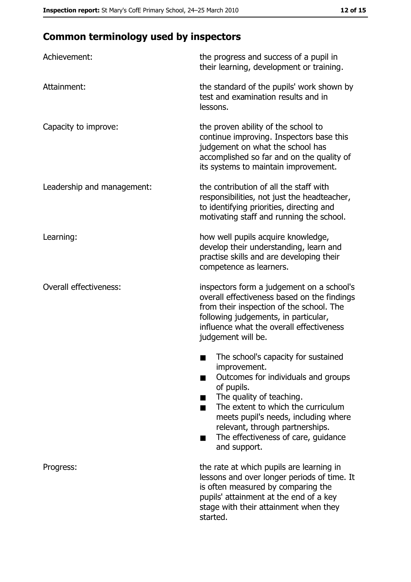# **Common terminology used by inspectors**

| Achievement:                  | the progress and success of a pupil in<br>their learning, development or training.                                                                                                                                                                                                                           |
|-------------------------------|--------------------------------------------------------------------------------------------------------------------------------------------------------------------------------------------------------------------------------------------------------------------------------------------------------------|
| Attainment:                   | the standard of the pupils' work shown by<br>test and examination results and in<br>lessons.                                                                                                                                                                                                                 |
| Capacity to improve:          | the proven ability of the school to<br>continue improving. Inspectors base this<br>judgement on what the school has<br>accomplished so far and on the quality of<br>its systems to maintain improvement.                                                                                                     |
| Leadership and management:    | the contribution of all the staff with<br>responsibilities, not just the headteacher,<br>to identifying priorities, directing and<br>motivating staff and running the school.                                                                                                                                |
| Learning:                     | how well pupils acquire knowledge,<br>develop their understanding, learn and<br>practise skills and are developing their<br>competence as learners.                                                                                                                                                          |
| <b>Overall effectiveness:</b> | inspectors form a judgement on a school's<br>overall effectiveness based on the findings<br>from their inspection of the school. The<br>following judgements, in particular,<br>influence what the overall effectiveness<br>judgement will be.                                                               |
|                               | The school's capacity for sustained<br>improvement.<br>Outcomes for individuals and groups<br>of pupils.<br>The quality of teaching.<br>The extent to which the curriculum<br>meets pupil's needs, including where<br>relevant, through partnerships.<br>The effectiveness of care, guidance<br>and support. |
| Progress:                     | the rate at which pupils are learning in<br>lessons and over longer periods of time. It<br>is often measured by comparing the<br>pupils' attainment at the end of a key<br>stage with their attainment when they<br>started.                                                                                 |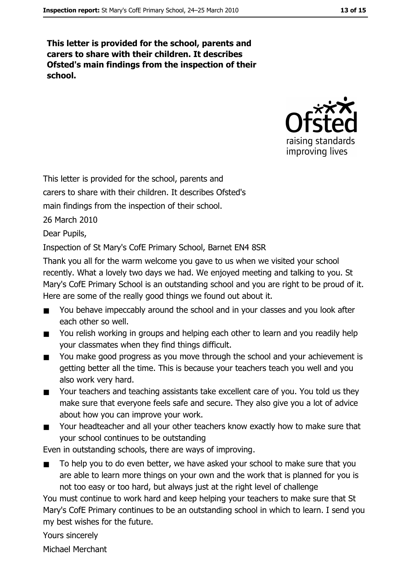This letter is provided for the school, parents and carers to share with their children. It describes Ofsted's main findings from the inspection of their school.



This letter is provided for the school, parents and

carers to share with their children. It describes Ofsted's

main findings from the inspection of their school.

26 March 2010

Dear Pupils,

Inspection of St Mary's CofE Primary School, Barnet EN4 8SR

Thank you all for the warm welcome you gave to us when we visited your school recently. What a lovely two days we had. We enjoyed meeting and talking to you. St Mary's CofE Primary School is an outstanding school and you are right to be proud of it. Here are some of the really good things we found out about it.

- You behave impeccably around the school and in your classes and you look after  $\blacksquare$ each other so well.
- You relish working in groups and helping each other to learn and you readily help  $\blacksquare$ your classmates when they find things difficult.
- You make good progress as you move through the school and your achievement is  $\blacksquare$ getting better all the time. This is because your teachers teach you well and you also work very hard.
- Your teachers and teaching assistants take excellent care of you. You told us they  $\blacksquare$ make sure that everyone feels safe and secure. They also give you a lot of advice about how you can improve your work.
- Your headteacher and all your other teachers know exactly how to make sure that  $\blacksquare$ your school continues to be outstanding

Even in outstanding schools, there are ways of improving.

 $\blacksquare$ To help you to do even better, we have asked your school to make sure that you are able to learn more things on your own and the work that is planned for you is not too easy or too hard, but always just at the right level of challenge

You must continue to work hard and keep helping your teachers to make sure that St Mary's CofE Primary continues to be an outstanding school in which to learn. I send you my best wishes for the future.

Yours sincerely Michael Merchant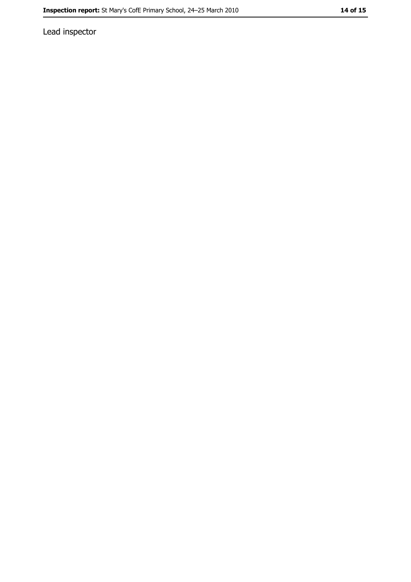Lead inspector